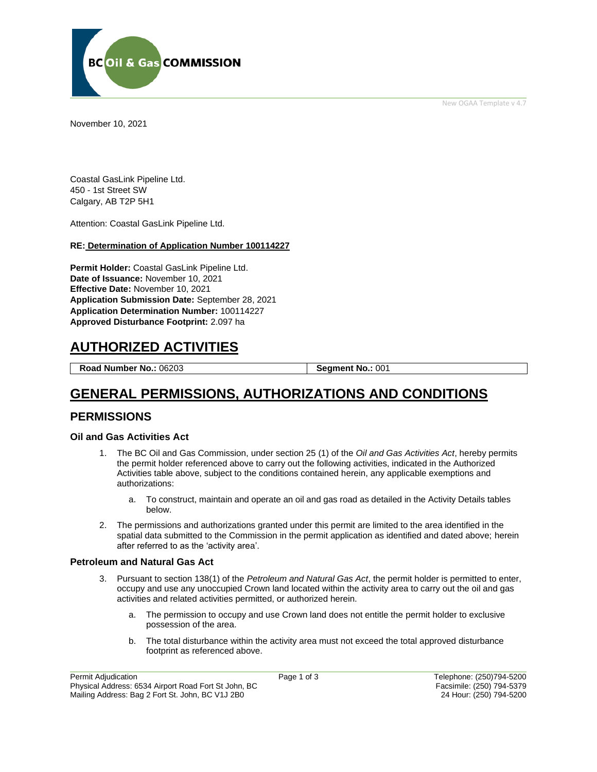New OGAA Template v 4.7



November 10, 2021

Coastal GasLink Pipeline Ltd. 450 - 1st Street SW Calgary, AB T2P 5H1

Attention: Coastal GasLink Pipeline Ltd.

#### **RE: Determination of Application Number 100114227**

**Permit Holder:** Coastal GasLink Pipeline Ltd. **Date of Issuance:** November 10, 2021 **Effective Date:** November 10, 2021 **Application Submission Date:** September 28, 2021 **Application Determination Number:** 100114227 **Approved Disturbance Footprint:** 2.097 ha

# **AUTHORIZED ACTIVITIES**

**Road Number No.: 06203 Segment No.: 001** 

# **GENERAL PERMISSIONS, AUTHORIZATIONS AND CONDITIONS**

#### **PERMISSIONS**

#### **Oil and Gas Activities Act**

- 1. The BC Oil and Gas Commission, under section 25 (1) of the *Oil and Gas Activities Act*, hereby permits the permit holder referenced above to carry out the following activities, indicated in the Authorized Activities table above, subject to the conditions contained herein, any applicable exemptions and authorizations:
	- a. To construct, maintain and operate an oil and gas road as detailed in the Activity Details tables below.
- 2. The permissions and authorizations granted under this permit are limited to the area identified in the spatial data submitted to the Commission in the permit application as identified and dated above; herein after referred to as the 'activity area'.

#### **Petroleum and Natural Gas Act**

- 3. Pursuant to section 138(1) of the *Petroleum and Natural Gas Act*, the permit holder is permitted to enter, occupy and use any unoccupied Crown land located within the activity area to carry out the oil and gas activities and related activities permitted, or authorized herein.
	- a. The permission to occupy and use Crown land does not entitle the permit holder to exclusive possession of the area.
	- b. The total disturbance within the activity area must not exceed the total approved disturbance footprint as referenced above.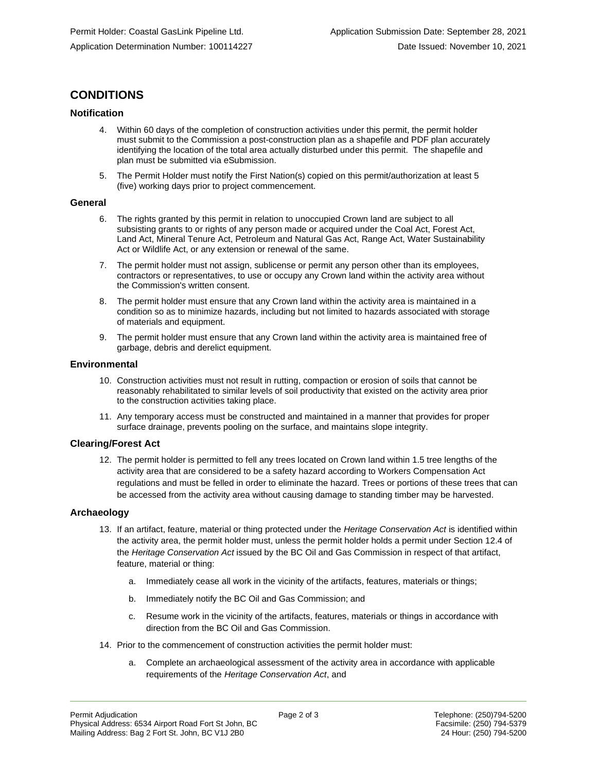## **CONDITIONS**

#### **Notification**

- 4. Within 60 days of the completion of construction activities under this permit, the permit holder must submit to the Commission a post-construction plan as a shapefile and PDF plan accurately identifying the location of the total area actually disturbed under this permit. The shapefile and plan must be submitted via eSubmission.
- 5. The Permit Holder must notify the First Nation(s) copied on this permit/authorization at least 5 (five) working days prior to project commencement.

#### **General**

- 6. The rights granted by this permit in relation to unoccupied Crown land are subject to all subsisting grants to or rights of any person made or acquired under the Coal Act, Forest Act, Land Act, Mineral Tenure Act, Petroleum and Natural Gas Act, Range Act, Water Sustainability Act or Wildlife Act, or any extension or renewal of the same.
- 7. The permit holder must not assign, sublicense or permit any person other than its employees, contractors or representatives, to use or occupy any Crown land within the activity area without the Commission's written consent.
- 8. The permit holder must ensure that any Crown land within the activity area is maintained in a condition so as to minimize hazards, including but not limited to hazards associated with storage of materials and equipment.
- 9. The permit holder must ensure that any Crown land within the activity area is maintained free of garbage, debris and derelict equipment.

#### **Environmental**

- 10. Construction activities must not result in rutting, compaction or erosion of soils that cannot be reasonably rehabilitated to similar levels of soil productivity that existed on the activity area prior to the construction activities taking place.
- 11. Any temporary access must be constructed and maintained in a manner that provides for proper surface drainage, prevents pooling on the surface, and maintains slope integrity.

#### **Clearing/Forest Act**

12. The permit holder is permitted to fell any trees located on Crown land within 1.5 tree lengths of the activity area that are considered to be a safety hazard according to Workers Compensation Act regulations and must be felled in order to eliminate the hazard. Trees or portions of these trees that can be accessed from the activity area without causing damage to standing timber may be harvested.

#### **Archaeology**

- 13. If an artifact, feature, material or thing protected under the *Heritage Conservation Act* is identified within the activity area, the permit holder must, unless the permit holder holds a permit under Section 12.4 of the *Heritage Conservation Act* issued by the BC Oil and Gas Commission in respect of that artifact, feature, material or thing:
	- a. Immediately cease all work in the vicinity of the artifacts, features, materials or things;
	- b. Immediately notify the BC Oil and Gas Commission; and
	- c. Resume work in the vicinity of the artifacts, features, materials or things in accordance with direction from the BC Oil and Gas Commission.
- 14. Prior to the commencement of construction activities the permit holder must:
	- a. Complete an archaeological assessment of the activity area in accordance with applicable requirements of the *Heritage Conservation Act*, and